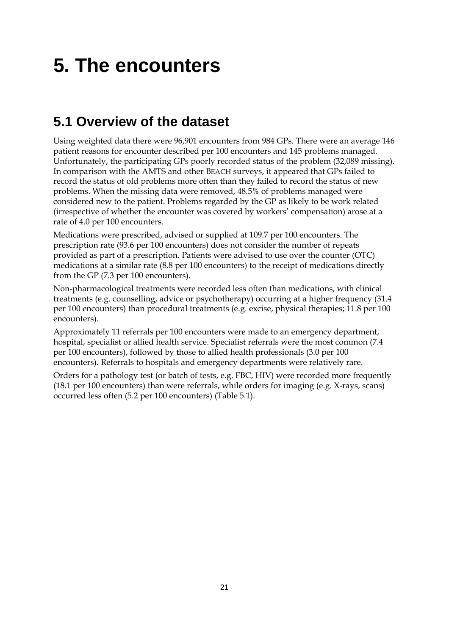## **5. The encounters**

## **5.1 Overview of the dataset**

Using weighted data there were 96,901 encounters from 984 GPs. There were an average 146 patient reasons for encounter described per 100 encounters and 145 problems managed. Unfortunately, the participating GPs poorly recorded status of the problem (32,089 missing). In comparison with the AMTS and other BEACH surveys, it appeared that GPs failed to record the status of old problems more often than they failed to record the status of new problems. When the missing data were removed, 48.5% of problems managed were considered new to the patient. Problems regarded by the GP as likely to be work related (irrespective of whether the encounter was covered by workers' compensation) arose at a rate of 4.0 per 100 encounters.

Medications were prescribed, advised or supplied at 109.7 per 100 encounters. The prescription rate (93.6 per 100 encounters) does not consider the number of repeats provided as part of a prescription. Patients were advised to use over the counter (OTC) medications at a similar rate (8.8 per 100 encounters) to the receipt of medications directly from the GP (7.3 per 100 encounters).

Non-pharmacological treatments were recorded less often than medications, with clinical treatments (e.g. counselling, advice or psychotherapy) occurring at a higher frequency (31.4 per 100 encounters) than procedural treatments (e.g. excise, physical therapies; 11.8 per 100 encounters).

Approximately 11 referrals per 100 encounters were made to an emergency department, hospital, specialist or allied health service. Specialist referrals were the most common (7.4 per 100 encounters), followed by those to allied health professionals (3.0 per 100 encounters). Referrals to hospitals and emergency departments were relatively rare.

Orders for a pathology test (or batch of tests, e.g. FBC, HIV) were recorded more frequently (18.1 per 100 encounters) than were referrals, while orders for imaging (e.g. X-rays, scans) occurred less often (5.2 per 100 encounters) (Table 5.1).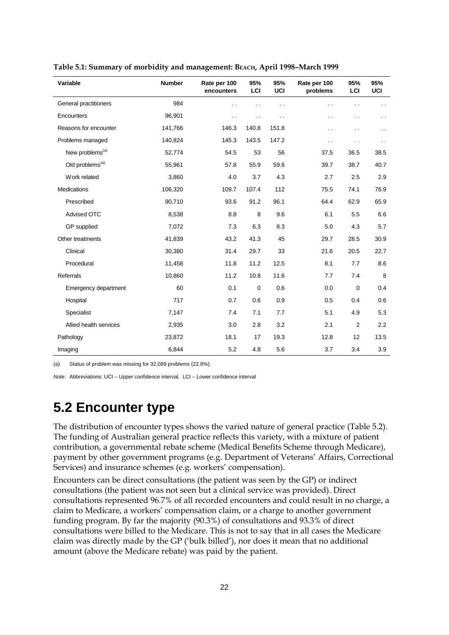| Variable                    | <b>Number</b> | Rate per 100<br>encounters | 95%<br>LCI           | 95%<br><b>UCI</b>    | Rate per 100<br>problems | 95%<br>LCI           | 95%<br>UCI           |
|-----------------------------|---------------|----------------------------|----------------------|----------------------|--------------------------|----------------------|----------------------|
| General practitioners       | 984           | . .                        |                      | $\ddot{\phantom{0}}$ |                          | . .                  |                      |
| Encounters                  | 96,901        | $\ddot{\phantom{0}}$       | $\ddot{\phantom{0}}$ | $\ddot{\phantom{0}}$ | $\ddot{\phantom{0}}$     | . .                  | $\ddot{\phantom{0}}$ |
| Reasons for encounter       | 141,766       | 146.3                      | 140.8                | 151.8                | . .                      | . .                  | $\ddot{\phantom{0}}$ |
| Problems managed            | 140,824       | 145.3                      | 143.5                | 147.2                | $\ddot{\phantom{0}}$     | $\ddot{\phantom{0}}$ | $\ddot{\phantom{0}}$ |
| New problems <sup>(a)</sup> | 52,774        | 54.5                       | 53                   | 56                   | 37.5                     | 36.5                 | 38.5                 |
| Old problems <sup>(a)</sup> | 55,961        | 57.8                       | 55.9                 | 59.6                 | 39.7                     | 38.7                 | 40.7                 |
| Work related                | 3,860         | 4.0                        | 3.7                  | 4.3                  | 2.7                      | 2.5                  | 2.9                  |
| Medications                 | 106,320       | 109.7                      | 107.4                | 112                  | 75.5                     | 74.1                 | 76.9                 |
| Prescribed                  | 90,710        | 93.6                       | 91.2                 | 96.1                 | 64.4                     | 62.9                 | 65.9                 |
| <b>Advised OTC</b>          | 8,538         | 8.8                        | 8                    | 9.6                  | 6.1                      | 5.5                  | 6.6                  |
| GP supplied                 | 7,072         | 7.3                        | 6.3                  | 8.3                  | 5.0                      | 4.3                  | 5.7                  |
| Other treatments            | 41,839        | 43.2                       | 41.3                 | 45                   | 29.7                     | 28.5                 | 30.9                 |
| Clinical                    | 30,380        | 31.4                       | 29.7                 | 33                   | 21.6                     | 20.5                 | 22.7                 |
| Procedural                  | 11,458        | 11.8                       | 11.2                 | 12.5                 | 8.1                      | 7.7                  | 8.6                  |
| Referrals                   | 10,860        | 11.2                       | 10.8                 | 11.6                 | 7.7                      | 7.4                  | 8                    |
| Emergency department        | 60            | 0.1                        | $\mathbf 0$          | 0.6                  | 0.0                      | $\pmb{0}$            | 0.4                  |
| Hospital                    | 717           | 0.7                        | 0.6                  | 0.9                  | 0.5                      | 0.4                  | 0.6                  |
| Specialist                  | 7,147         | 7.4                        | 7.1                  | 7.7                  | 5.1                      | 4.9                  | 5.3                  |
| Allied health services      | 2,935         | 3.0                        | 2.8                  | 3.2                  | 2.1                      | 2                    | 2.2                  |
| Pathology                   | 23,872        | 18.1                       | 17                   | 19.3                 | 12.8                     | 12                   | 13.5                 |
| Imaging                     | 6,844         | 5.2                        | 4.8                  | 5.6                  | 3.7                      | 3.4                  | 3.9                  |

**Table 5.1: Summary of morbidity and management: BEACH, April 1998–March 1999**

(a) Status of problem was missing for 32,089 problems (22.8%).

*Note:* Abbreviations: UCI – Upper confidence interval, LCI – Lower confidence interval

## **5.2 Encounter type**

The distribution of encounter types shows the varied nature of general practice (Table 5.2). The funding of Australian general practice reflects this variety, with a mixture of patient contribution, a governmental rebate scheme (Medical Benefits Scheme through Medicare), payment by other government programs (e.g. Department of Veterans' Affairs, Correctional Services) and insurance schemes (e.g. workers' compensation).

Encounters can be direct consultations (the patient was seen by the GP) or indirect consultations (the patient was not seen but a clinical service was provided). Direct consultations represented 96.7% of all recorded encounters and could result in no charge, a claim to Medicare, a workers' compensation claim, or a charge to another government funding program. By far the majority (90.3%) of consultations and 93.3% of direct consultations were billed to the Medicare. This is not to say that in all cases the Medicare claim was directly made by the GP ('bulk billed'), nor does it mean that no additional amount (above the Medicare rebate) was paid by the patient.